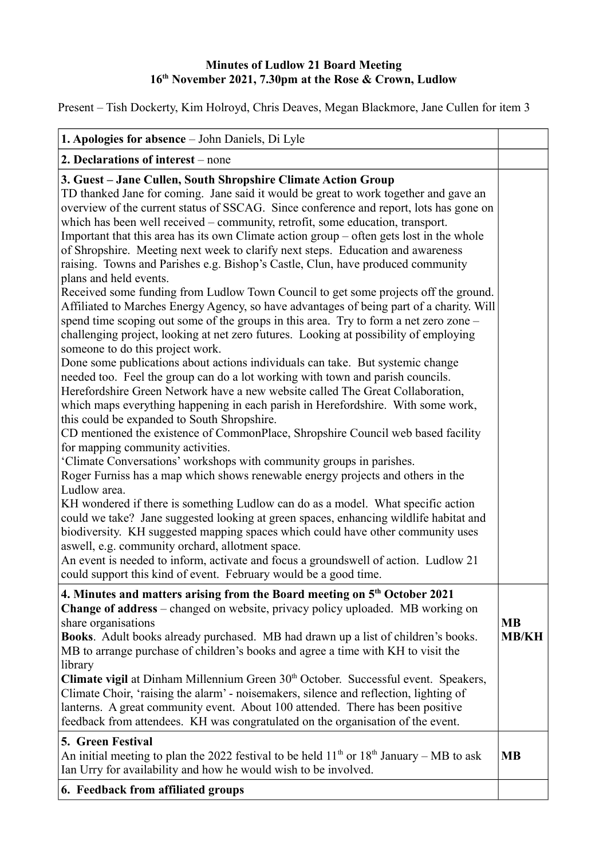## **Minutes of Ludlow 21 Board Meeting 16th November 2021, 7.30pm at the Rose & Crown, Ludlow**

Present – Tish Dockerty, Kim Holroyd, Chris Deaves, Megan Blackmore, Jane Cullen for item 3

| 1. Apologies for absence - John Daniels, Di Lyle                                                                                                                                                                                                                                                                                                                                                                                                                                                                                                                                                                                                                                                                                                                                                                                                                                                                                                                                                                                                                                                                         |                           |
|--------------------------------------------------------------------------------------------------------------------------------------------------------------------------------------------------------------------------------------------------------------------------------------------------------------------------------------------------------------------------------------------------------------------------------------------------------------------------------------------------------------------------------------------------------------------------------------------------------------------------------------------------------------------------------------------------------------------------------------------------------------------------------------------------------------------------------------------------------------------------------------------------------------------------------------------------------------------------------------------------------------------------------------------------------------------------------------------------------------------------|---------------------------|
| 2. Declarations of interest – none                                                                                                                                                                                                                                                                                                                                                                                                                                                                                                                                                                                                                                                                                                                                                                                                                                                                                                                                                                                                                                                                                       |                           |
| 3. Guest – Jane Cullen, South Shropshire Climate Action Group<br>TD thanked Jane for coming. Jane said it would be great to work together and gave an<br>overview of the current status of SSCAG. Since conference and report, lots has gone on<br>which has been well received - community, retrofit, some education, transport.<br>Important that this area has its own Climate action group – often gets lost in the whole<br>of Shropshire. Meeting next week to clarify next steps. Education and awareness<br>raising. Towns and Parishes e.g. Bishop's Castle, Clun, have produced community<br>plans and held events.<br>Received some funding from Ludlow Town Council to get some projects off the ground.<br>Affiliated to Marches Energy Agency, so have advantages of being part of a charity. Will<br>spend time scoping out some of the groups in this area. Try to form a net zero zone -<br>challenging project, looking at net zero futures. Looking at possibility of employing<br>someone to do this project work.<br>Done some publications about actions individuals can take. But systemic change |                           |
| needed too. Feel the group can do a lot working with town and parish councils.<br>Herefordshire Green Network have a new website called The Great Collaboration,<br>which maps everything happening in each parish in Herefordshire. With some work,<br>this could be expanded to South Shropshire.<br>CD mentioned the existence of CommonPlace, Shropshire Council web based facility<br>for mapping community activities.<br>'Climate Conversations' workshops with community groups in parishes.<br>Roger Furniss has a map which shows renewable energy projects and others in the<br>Ludlow area.<br>KH wondered if there is something Ludlow can do as a model. What specific action<br>could we take? Jane suggested looking at green spaces, enhancing wildlife habitat and<br>biodiversity. KH suggested mapping spaces which could have other community uses<br>aswell, e.g. community orchard, allotment space.<br>An event is needed to inform, activate and focus a groundswell of action. Ludlow 21<br>could support this kind of event. February would be a good time.                                   |                           |
| 4. Minutes and matters arising from the Board meeting on 5 <sup>th</sup> October 2021<br>Change of address - changed on website, privacy policy uploaded. MB working on<br>share organisations<br><b>Books.</b> Adult books already purchased. MB had drawn up a list of children's books.<br>MB to arrange purchase of children's books and agree a time with KH to visit the<br>library<br>Climate vigil at Dinham Millennium Green 30 <sup>th</sup> October. Successful event. Speakers,<br>Climate Choir, 'raising the alarm' - noisemakers, silence and reflection, lighting of<br>lanterns. A great community event. About 100 attended. There has been positive<br>feedback from attendees. KH was congratulated on the organisation of the event.                                                                                                                                                                                                                                                                                                                                                                | <b>MB</b><br><b>MB/KH</b> |
| 5. Green Festival<br>An initial meeting to plan the 2022 festival to be held $11th$ or $18th$ January – MB to ask<br>Ian Urry for availability and how he would wish to be involved.                                                                                                                                                                                                                                                                                                                                                                                                                                                                                                                                                                                                                                                                                                                                                                                                                                                                                                                                     | <b>MB</b>                 |
| 6. Feedback from affiliated groups                                                                                                                                                                                                                                                                                                                                                                                                                                                                                                                                                                                                                                                                                                                                                                                                                                                                                                                                                                                                                                                                                       |                           |